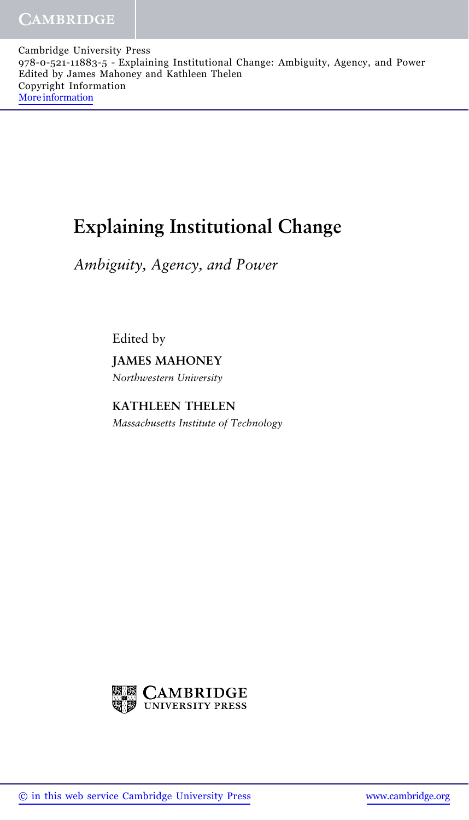Cambridge University Press 978-0-521-11883-5 - Explaining Institutional Change: Ambiguity, Agency, and Power Edited by James Mahoney and Kathleen Thelen Copyright Information [More information](http://www.cambridge.org/9780521118835)

## **Explaining Institutional Change**

*Ambiguity, Agency, and Power*

Edited by **JAMES MAHONEY** *Northwestern University*

**KATHLEEN THELEN** *Massachusetts Institute of Technology*